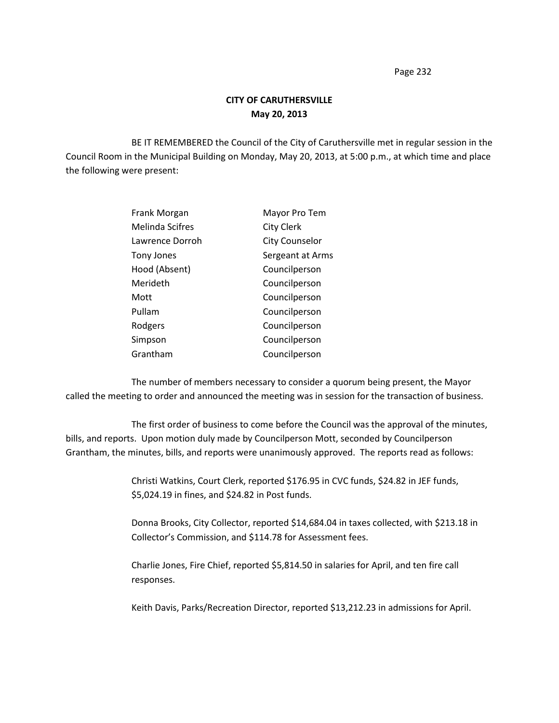Page 232

## **CITY OF CARUTHERSVILLE May 20, 2013**

BE IT REMEMBERED the Council of the City of Caruthersville met in regular session in the Council Room in the Municipal Building on Monday, May 20, 2013, at 5:00 p.m., at which time and place the following were present:

| Frank Morgan           | Mayor Pro Tem         |  |
|------------------------|-----------------------|--|
| <b>Melinda Scifres</b> | <b>City Clerk</b>     |  |
| Lawrence Dorroh        | <b>City Counselor</b> |  |
| Tony Jones             | Sergeant at Arms      |  |
| Hood (Absent)          | Councilperson         |  |
| Merideth               | Councilperson         |  |
| Mott                   | Councilperson         |  |
| Pullam                 | Councilperson         |  |
| Rodgers                | Councilperson         |  |
| Simpson                | Councilperson         |  |
| Grantham               | Councilperson         |  |

The number of members necessary to consider a quorum being present, the Mayor called the meeting to order and announced the meeting was in session for the transaction of business.

The first order of business to come before the Council was the approval of the minutes, bills, and reports. Upon motion duly made by Councilperson Mott, seconded by Councilperson Grantham, the minutes, bills, and reports were unanimously approved. The reports read as follows:

> Christi Watkins, Court Clerk, reported \$176.95 in CVC funds, \$24.82 in JEF funds, \$5,024.19 in fines, and \$24.82 in Post funds.

Donna Brooks, City Collector, reported \$14,684.04 in taxes collected, with \$213.18 in Collector's Commission, and \$114.78 for Assessment fees.

Charlie Jones, Fire Chief, reported \$5,814.50 in salaries for April, and ten fire call responses.

Keith Davis, Parks/Recreation Director, reported \$13,212.23 in admissions for April.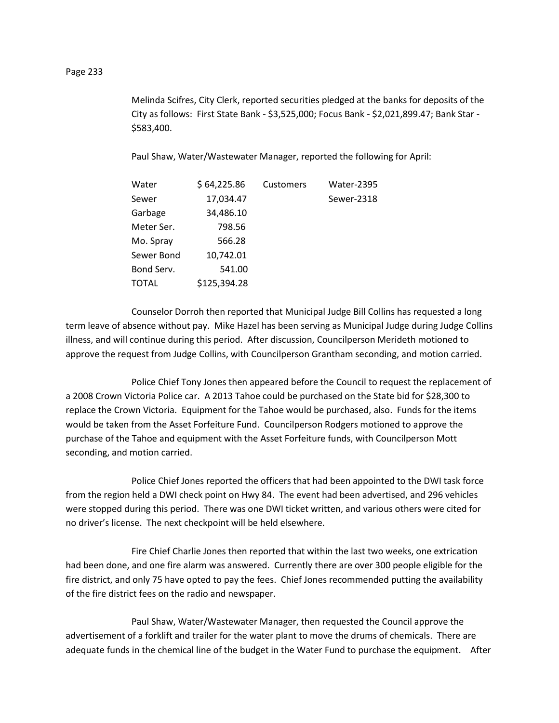Melinda Scifres, City Clerk, reported securities pledged at the banks for deposits of the City as follows: First State Bank - \$3,525,000; Focus Bank - \$2,021,899.47; Bank Star - \$583,400.

Paul Shaw, Water/Wastewater Manager, reported the following for April:

| Water        | \$64,225.86  | Customers | <b>Water-2395</b> |
|--------------|--------------|-----------|-------------------|
| Sewer        | 17,034.47    |           | Sewer-2318        |
| Garbage      | 34,486.10    |           |                   |
| Meter Ser.   | 798.56       |           |                   |
| Mo. Spray    | 566.28       |           |                   |
| Sewer Bond   | 10,742.01    |           |                   |
| Bond Serv.   | 541.00       |           |                   |
| <b>TOTAL</b> | \$125,394.28 |           |                   |

Counselor Dorroh then reported that Municipal Judge Bill Collins has requested a long term leave of absence without pay. Mike Hazel has been serving as Municipal Judge during Judge Collins illness, and will continue during this period. After discussion, Councilperson Merideth motioned to approve the request from Judge Collins, with Councilperson Grantham seconding, and motion carried.

Police Chief Tony Jones then appeared before the Council to request the replacement of a 2008 Crown Victoria Police car. A 2013 Tahoe could be purchased on the State bid for \$28,300 to replace the Crown Victoria. Equipment for the Tahoe would be purchased, also. Funds for the items would be taken from the Asset Forfeiture Fund. Councilperson Rodgers motioned to approve the purchase of the Tahoe and equipment with the Asset Forfeiture funds, with Councilperson Mott seconding, and motion carried.

Police Chief Jones reported the officers that had been appointed to the DWI task force from the region held a DWI check point on Hwy 84. The event had been advertised, and 296 vehicles were stopped during this period. There was one DWI ticket written, and various others were cited for no driver's license. The next checkpoint will be held elsewhere.

Fire Chief Charlie Jones then reported that within the last two weeks, one extrication had been done, and one fire alarm was answered. Currently there are over 300 people eligible for the fire district, and only 75 have opted to pay the fees. Chief Jones recommended putting the availability of the fire district fees on the radio and newspaper.

Paul Shaw, Water/Wastewater Manager, then requested the Council approve the advertisement of a forklift and trailer for the water plant to move the drums of chemicals. There are adequate funds in the chemical line of the budget in the Water Fund to purchase the equipment. After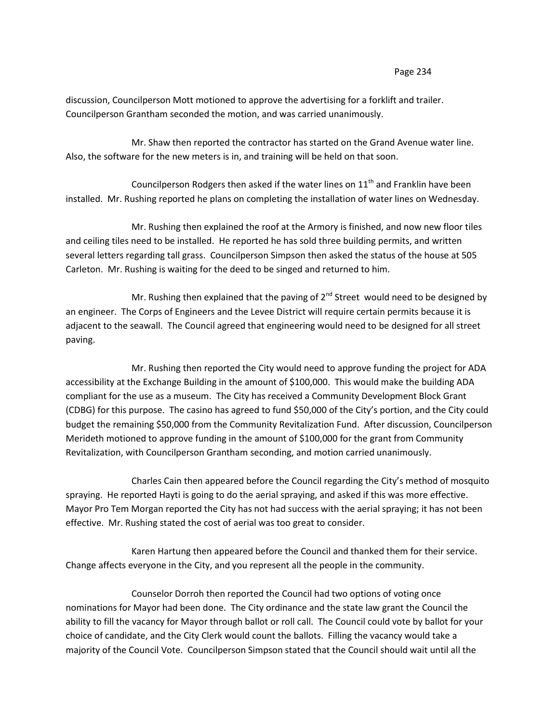## Page 234

discussion, Councilperson Mott motioned to approve the advertising for a forklift and trailer. Councilperson Grantham seconded the motion, and was carried unanimously.

Mr. Shaw then reported the contractor has started on the Grand Avenue water line. Also, the software for the new meters is in, and training will be held on that soon.

Councilperson Rodgers then asked if the water lines on  $11<sup>th</sup>$  and Franklin have been installed. Mr. Rushing reported he plans on completing the installation of water lines on Wednesday.

Mr. Rushing then explained the roof at the Armory is finished, and now new floor tiles and ceiling tiles need to be installed. He reported he has sold three building permits, and written several letters regarding tall grass. Councilperson Simpson then asked the status of the house at 505 Carleton. Mr. Rushing is waiting for the deed to be singed and returned to him.

Mr. Rushing then explained that the paving of  $2^{nd}$  Street would need to be designed by an engineer. The Corps of Engineers and the Levee District will require certain permits because it is adjacent to the seawall. The Council agreed that engineering would need to be designed for all street paving.

Mr. Rushing then reported the City would need to approve funding the project for ADA accessibility at the Exchange Building in the amount of \$100,000. This would make the building ADA compliant for the use as a museum. The City has received a Community Development Block Grant (CDBG) for this purpose. The casino has agreed to fund \$50,000 of the City's portion, and the City could budget the remaining \$50,000 from the Community Revitalization Fund. After discussion, Councilperson Merideth motioned to approve funding in the amount of \$100,000 for the grant from Community Revitalization, with Councilperson Grantham seconding, and motion carried unanimously.

Charles Cain then appeared before the Council regarding the City's method of mosquito spraying. He reported Hayti is going to do the aerial spraying, and asked if this was more effective. Mayor Pro Tem Morgan reported the City has not had success with the aerial spraying; it has not been effective. Mr. Rushing stated the cost of aerial was too great to consider.

Karen Hartung then appeared before the Council and thanked them for their service. Change affects everyone in the City, and you represent all the people in the community.

Counselor Dorroh then reported the Council had two options of voting once nominations for Mayor had been done. The City ordinance and the state law grant the Council the ability to fill the vacancy for Mayor through ballot or roll call. The Council could vote by ballot for your choice of candidate, and the City Clerk would count the ballots. Filling the vacancy would take a majority of the Council Vote. Councilperson Simpson stated that the Council should wait until all the